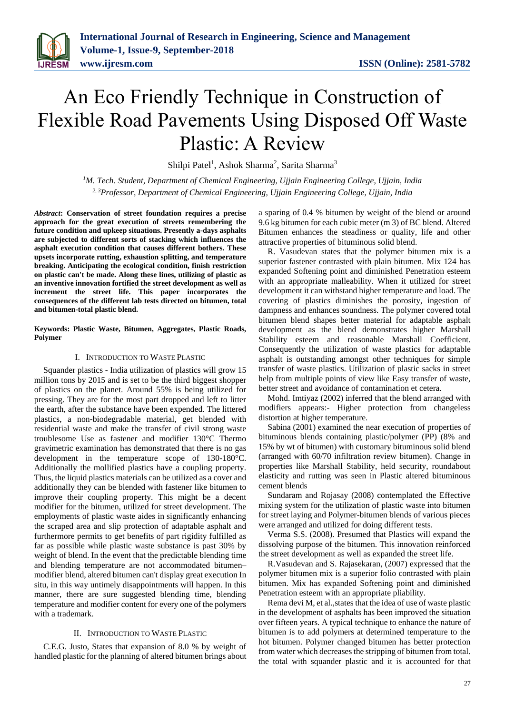# An Eco Friendly Technique in Construction of Flexible Road Pavements Using Disposed Off Waste Plastic: A Review

Shilpi Patel<sup>1</sup>, Ashok Sharma<sup>2</sup>, Sarita Sharma<sup>3</sup>

*<sup>1</sup>M. Tech. Student, Department of Chemical Engineering, Ujjain Engineering College, Ujjain, India 2, 3Professor, Department of Chemical Engineering, Ujjain Engineering College, Ujjain, India*

*Abstract***: Conservation of street foundation requires a precise approach for the great execution of streets remembering the future condition and upkeep situations. Presently a-days asphalts are subjected to different sorts of stacking which influences the asphalt execution condition that causes different bothers. These upsets incorporate rutting, exhaustion splitting, and temperature breaking. Anticipating the ecological condition, finish restriction on plastic can't be made. Along these lines, utilizing of plastic as an inventive innovation fortified the street development as well as increment the street life. This paper incorporates the consequences of the different lab tests directed on bitumen, total and bitumen-total plastic blend.** 

**Keywords: Plastic Waste, Bitumen, Aggregates, Plastic Roads, Polymer**

# I. INTRODUCTION TO WASTE PLASTIC

Squander plastics - India utilization of plastics will grow 15 million tons by 2015 and is set to be the third biggest shopper of plastics on the planet. Around 55% is being utilized for pressing. They are for the most part dropped and left to litter the earth, after the substance have been expended. The littered plastics, a non-biodegradable material, get blended with residential waste and make the transfer of civil strong waste troublesome Use as fastener and modifier 130°C Thermo gravimetric examination has demonstrated that there is no gas development in the temperature scope of 130-180°C. Additionally the mollified plastics have a coupling property. Thus, the liquid plastics materials can be utilized as a cover and additionally they can be blended with fastener like bitumen to improve their coupling property. This might be a decent modifier for the bitumen, utilized for street development. The employments of plastic waste aides in significantly enhancing the scraped area and slip protection of adaptable asphalt and furthermore permits to get benefits of part rigidity fulfilled as far as possible while plastic waste substance is past 30% by weight of blend. In the event that the predictable blending time and blending temperature are not accommodated bitumen– modifier blend, altered bitumen can't display great execution In situ, in this way untimely disappointments will happen. In this manner, there are sure suggested blending time, blending temperature and modifier content for every one of the polymers with a trademark.

#### II. INTRODUCTION TO WASTE PLASTIC

C.E.G. Justo, States that expansion of 8.0 % by weight of handled plastic for the planning of altered bitumen brings about a sparing of 0.4 % bitumen by weight of the blend or around 9.6 kg bitumen for each cubic meter (m 3) of BC blend. Altered Bitumen enhances the steadiness or quality, life and other attractive properties of bituminous solid blend.

R. Vasudevan states that the polymer bitumen mix is a superior fastener contrasted with plain bitumen. Mix 124 has expanded Softening point and diminished Penetration esteem with an appropriate malleability. When it utilized for street development it can withstand higher temperature and load. The covering of plastics diminishes the porosity, ingestion of dampness and enhances soundness. The polymer covered total bitumen blend shapes better material for adaptable asphalt development as the blend demonstrates higher Marshall Stability esteem and reasonable Marshall Coefficient. Consequently the utilization of waste plastics for adaptable asphalt is outstanding amongst other techniques for simple transfer of waste plastics. Utilization of plastic sacks in street help from multiple points of view like Easy transfer of waste, better street and avoidance of contamination et cetera.

Mohd. Imtiyaz (2002) inferred that the blend arranged with modifiers appears:- Higher protection from changeless distortion at higher temperature.

Sabina (2001) examined the near execution of properties of bituminous blends containing plastic/polymer (PP) (8% and 15% by wt of bitumen) with customary bituminous solid blend (arranged with 60/70 infiltration review bitumen). Change in properties like Marshall Stability, held security, roundabout elasticity and rutting was seen in Plastic altered bituminous cement blends

Sundaram and Rojasay (2008) contemplated the Effective mixing system for the utilization of plastic waste into bitumen for street laying and Polymer-bitumen blends of various pieces were arranged and utilized for doing different tests.

Verma S.S. (2008). Presumed that Plastics will expand the dissolving purpose of the bitumen. This innovation reinforced the street development as well as expanded the street life.

R.Vasudevan and S. Rajasekaran, (2007) expressed that the polymer bitumen mix is a superior folio contrasted with plain bitumen. Mix has expanded Softening point and diminished Penetration esteem with an appropriate pliability.

Rema devi M, et al.,states that the idea of use of waste plastic in the development of asphalts has been improved the situation over fifteen years. A typical technique to enhance the nature of bitumen is to add polymers at determined temperature to the hot bitumen. Polymer changed bitumen has better protection from water which decreases the stripping of bitumen from total. the total with squander plastic and it is accounted for that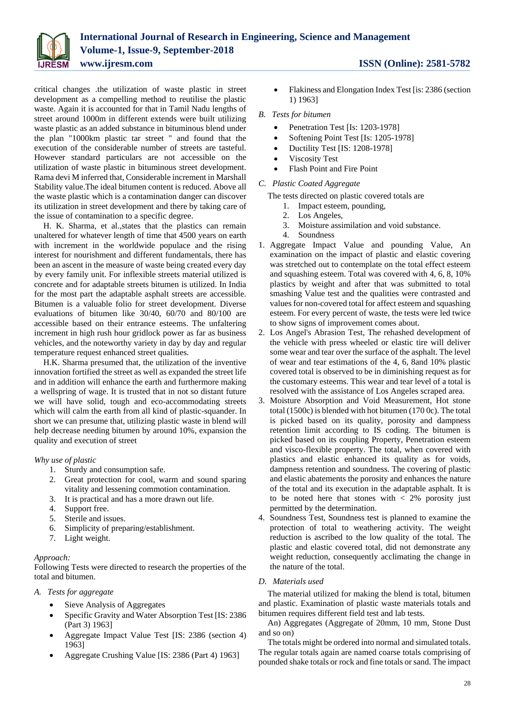

critical changes .the utilization of waste plastic in street development as a compelling method to reutilise the plastic waste. Again it is accounted for that in Tamil Nadu lengths of street around 1000m in different extends were built utilizing waste plastic as an added substance in bituminous blend under the plan "1000km plastic tar street " and found that the execution of the considerable number of streets are tasteful. However standard particulars are not accessible on the utilization of waste plastic in bituminous street development. Rama devi M inferred that, Considerable increment in Marshall Stability value.The ideal bitumen content is reduced. Above all the waste plastic which is a contamination danger can discover its utilization in street development and there by taking care of the issue of contamination to a specific degree.

H. K. Sharma, et al.,states that the plastics can remain unaltered for whatever length of time that 4500 years on earth with increment in the worldwide populace and the rising interest for nourishment and different fundamentals, there has been an ascent in the measure of waste being created every day by every family unit. For inflexible streets material utilized is concrete and for adaptable streets bitumen is utilized. In India for the most part the adaptable asphalt streets are accessible. Bitumen is a valuable folio for street development. Diverse evaluations of bitumen like 30/40, 60/70 and 80/100 are accessible based on their entrance esteems. The unfaltering increment in high rush hour gridlock power as far as business vehicles, and the noteworthy variety in day by day and regular temperature request enhanced street qualities.

H.K. Sharma presumed that, the utilization of the inventive innovation fortified the street as well as expanded the street life and in addition will enhance the earth and furthermore making a wellspring of wage. It is trusted that in not so distant future we will have solid, tough and eco-accommodating streets which will calm the earth from all kind of plastic-squander. In short we can presume that, utilizing plastic waste in blend will help decrease needing bitumen by around 10%, expansion the quality and execution of street

# *Why use of plastic*

- 1. Sturdy and consumption safe.
- 2. Great protection for cool, warm and sound sparing vitality and lessening commotion contamination.
- 3. It is practical and has a more drawn out life.
- 4. Support free.
- 5. Sterile and issues.
- 6. Simplicity of preparing/establishment.
- 7. Light weight.

# *Approach:*

Following Tests were directed to research the properties of the total and bitumen.

# *A. Tests for aggregate*

- Sieve Analysis of Aggregates
- Specific Gravity and Water Absorption Test [IS: 2386 (Part 3) 1963]
- Aggregate Impact Value Test [IS: 2386 (section 4) 1963]
- Aggregate Crushing Value [IS: 2386 (Part 4) 1963]

 Flakiness and Elongation Index Test [is: 2386 (section 1) 1963]

# *B. Tests for bitumen*

- Penetration Test [Is: 1203-1978]
- Softening Point Test [Is: 1205-1978]
- Ductility Test [IS: 1208-1978]
- Viscosity Test
- Flash Point and Fire Point

# *C. Plastic Coated Aggregate*

The tests directed on plastic covered totals are

- 1. Impact esteem, pounding,
- 2. Los Angeles,
- 3. Moisture assimilation and void substance.
- 4. Soundness
- 1. Aggregate Impact Value and pounding Value, An examination on the impact of plastic and elastic covering was stretched out to contemplate on the total effect esteem and squashing esteem. Total was covered with 4, 6, 8, 10% plastics by weight and after that was submitted to total smashing Value test and the qualities were contrasted and values for non-covered total for affect esteem and squashing esteem. For every percent of waste, the tests were led twice to show signs of improvement comes about.
- 2. Los Angel's Abrasion Test, The rehashed development of the vehicle with press wheeled or elastic tire will deliver some wear and tear over the surface of the asphalt. The level of wear and tear estimations of the 4, 6, 8and 10% plastic covered total is observed to be in diminishing request as for the customary esteems. This wear and tear level of a total is resolved with the assistance of Los Angeles scraped area.
- 3. Moisture Absorption and Void Measurement, Hot stone total (1500c) is blended with hot bitumen (170 0c). The total is picked based on its quality, porosity and dampness retention limit according to IS coding. The bitumen is picked based on its coupling Property, Penetration esteem and visco-flexible property. The total, when covered with plastics and elastic enhanced its quality as for voids, dampness retention and soundness. The covering of plastic and elastic abatements the porosity and enhances the nature of the total and its execution in the adaptable asphalt. It is to be noted here that stones with  $\langle 2\%$  porosity just permitted by the determination.
- 4. Soundness Test, Soundness test is planned to examine the protection of total to weathering activity. The weight reduction is ascribed to the low quality of the total. The plastic and elastic covered total, did not demonstrate any weight reduction, consequently acclimating the change in the nature of the total.

# *D. Materials used*

The material utilized for making the blend is total, bitumen and plastic. Examination of plastic waste materials totals and bitumen requires different field test and lab tests.

An) Aggregates (Aggregate of 20mm, 10 mm, Stone Dust and so on)

The totals might be ordered into normal and simulated totals. The regular totals again are named coarse totals comprising of pounded shake totals or rock and fine totals or sand. The impact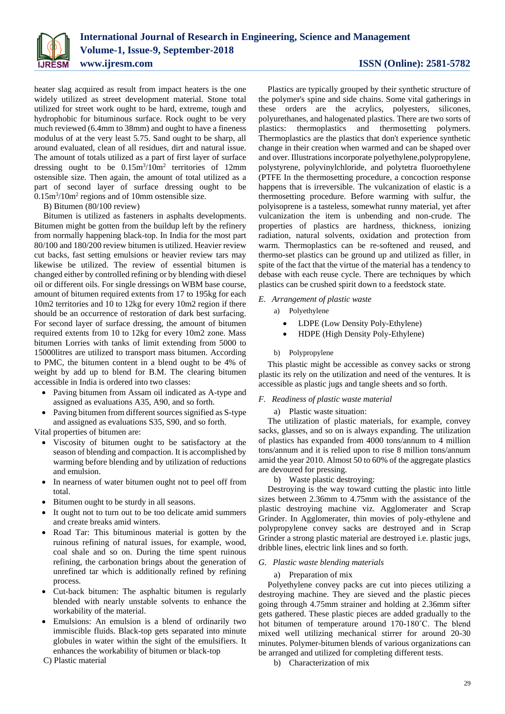

heater slag acquired as result from impact heaters is the one widely utilized as street development material. Stone total utilized for street work ought to be hard, extreme, tough and hydrophobic for bituminous surface. Rock ought to be very much reviewed (6.4mm to 38mm) and ought to have a fineness modulus of at the very least 5.75. Sand ought to be sharp, all around evaluated, clean of all residues, dirt and natural issue. The amount of totals utilized as a part of first layer of surface dressing ought to be 0.15m<sup>3</sup> /10m<sup>2</sup> territories of 12mm ostensible size. Then again, the amount of total utilized as a part of second layer of surface dressing ought to be  $0.15 \text{m}^3 / 10 \text{m}^2$  regions and of 10mm ostensible size.

# B) Bitumen (80/100 review)

Bitumen is utilized as fasteners in asphalts developments. Bitumen might be gotten from the buildup left by the refinery from normally happening black-top. In India for the most part 80/100 and 180/200 review bitumen is utilized. Heavier review cut backs, fast setting emulsions or heavier review tars may likewise be utilized. The review of essential bitumen is changed either by controlled refining or by blending with diesel oil or different oils. For single dressings on WBM base course, amount of bitumen required extents from 17 to 195kg for each 10m2 territories and 10 to 12kg for every 10m2 region if there should be an occurrence of restoration of dark best surfacing. For second layer of surface dressing, the amount of bitumen required extents from 10 to 12kg for every 10m2 zone. Mass bitumen Lorries with tanks of limit extending from 5000 to 15000litres are utilized to transport mass bitumen. According to PMC, the bitumen content in a blend ought to be 4% of weight by add up to blend for B.M. The clearing bitumen accessible in India is ordered into two classes:

- Paving bitumen from Assam oil indicated as A-type and assigned as evaluations A35, A90, and so forth.
- Paving bitumen from different sources signified as S-type and assigned as evaluations S35, S90, and so forth.

Vital properties of bitumen are:

- Viscosity of bitumen ought to be satisfactory at the season of blending and compaction. It is accomplished by warming before blending and by utilization of reductions and emulsion.
- In nearness of water bitumen ought not to peel off from total.
- Bitumen ought to be sturdy in all seasons.
- It ought not to turn out to be too delicate amid summers and create breaks amid winters.
- Road Tar: This bituminous material is gotten by the ruinous refining of natural issues, for example, wood, coal shale and so on. During the time spent ruinous refining, the carbonation brings about the generation of unrefined tar which is additionally refined by refining process.
- Cut-back bitumen: The asphaltic bitumen is regularly blended with nearly unstable solvents to enhance the workability of the material.
- Emulsions: An emulsion is a blend of ordinarily two immiscible fluids. Black-top gets separated into minute globules in water within the sight of the emulsifiers. It enhances the workability of bitumen or black-top

C) Plastic material

Plastics are typically grouped by their synthetic structure of the polymer's spine and side chains. Some vital gatherings in these orders are the acrylics, polyesters, silicones, polyurethanes, and halogenated plastics. There are two sorts of plastics: thermoplastics and thermosetting polymers. Thermoplastics are the plastics that don't experience synthetic change in their creation when warmed and can be shaped over and over. Illustrations incorporate polyethylene, polypropylene, polystyrene, polyvinylchloride, and polytetra fluoroethylene (PTFE In the thermosetting procedure, a concoction response happens that is irreversible. The vulcanization of elastic is a thermosetting procedure. Before warming with sulfur, the polyisoprene is a tasteless, somewhat runny material, yet after vulcanization the item is unbending and non-crude. The properties of plastics are hardness, thickness, ionizing radiation, natural solvents, oxidation and protection from warm. Thermoplastics can be re-softened and reused, and thermo-set plastics can be ground up and utilized as filler, in spite of the fact that the virtue of the material has a tendency to debase with each reuse cycle. There are techniques by which plastics can be crushed spirit down to a feedstock state.

#### *E. Arrangement of plastic waste*

a) Polyethylene

- LDPE (Low Density Poly-Ethylene)
- HDPE (High Density Poly-Ethylene)
- b) Polypropylene

This plastic might be accessible as convey sacks or strong plastic its rely on the utilization and need of the ventures. It is accessible as plastic jugs and tangle sheets and so forth.

#### *F. Readiness of plastic waste material*

#### a) Plastic waste situation:

The utilization of plastic materials, for example, convey sacks, glasses, and so on is always expanding. The utilization of plastics has expanded from 4000 tons/annum to 4 million tons/annum and it is relied upon to rise 8 million tons/annum amid the year 2010. Almost 50 to 60% of the aggregate plastics are devoured for pressing.

b) Waste plastic destroying:

Destroying is the way toward cutting the plastic into little sizes between 2.36mm to 4.75mm with the assistance of the plastic destroying machine viz. Agglomerater and Scrap Grinder. In Agglomerater, thin movies of poly-ethylene and polypropylene convey sacks are destroyed and in Scrap Grinder a strong plastic material are destroyed i.e. plastic jugs, dribble lines, electric link lines and so forth.

# *G. Plastic waste blending materials*

#### a) Preparation of mix

Polyethylene convey packs are cut into pieces utilizing a destroying machine. They are sieved and the plastic pieces going through 4.75mm strainer and holding at 2.36mm sifter gets gathered. These plastic pieces are added gradually to the hot bitumen of temperature around 170-180˚C. The blend mixed well utilizing mechanical stirrer for around 20-30 minutes. Polymer-bitumen blends of various organizations can be arranged and utilized for completing different tests.

b) Characterization of mix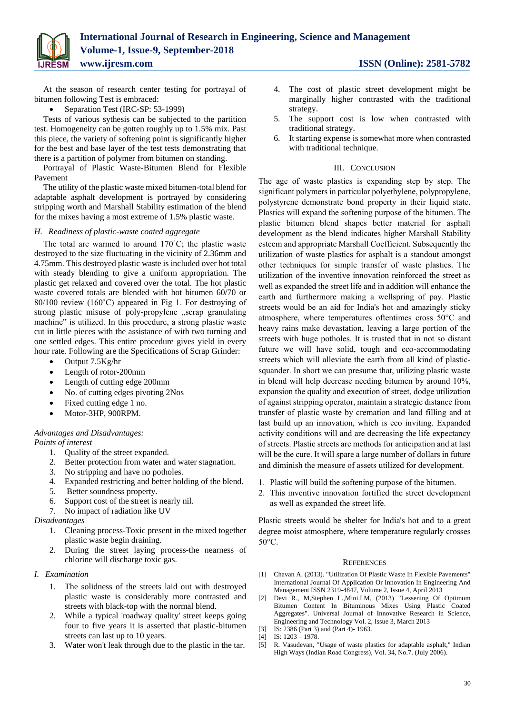

At the season of research center testing for portrayal of bitumen following Test is embraced:

# • Separation Test (IRC-SP: 53-1999)

Tests of various sythesis can be subjected to the partition test. Homogeneity can be gotten roughly up to 1.5% mix. Past this piece, the variety of softening point is significantly higher for the best and base layer of the test tests demonstrating that there is a partition of polymer from bitumen on standing.

Portrayal of Plastic Waste-Bitumen Blend for Flexible Pavement

The utility of the plastic waste mixed bitumen-total blend for adaptable asphalt development is portrayed by considering stripping worth and Marshall Stability estimation of the blend for the mixes having a most extreme of 1.5% plastic waste.

# *H. Readiness of plastic-waste coated aggregate*

The total are warmed to around 170˚C; the plastic waste destroyed to the size fluctuating in the vicinity of 2.36mm and 4.75mm. This destroyed plastic waste is included over hot total with steady blending to give a uniform appropriation. The plastic get relaxed and covered over the total. The hot plastic waste covered totals are blended with hot bitumen 60/70 or 80/100 review (160˚C) appeared in Fig 1. For destroying of strong plastic misuse of poly-propylene "scrap granulating machine" is utilized. In this procedure, a strong plastic waste cut in little pieces with the assistance of with two turning and one settled edges. This entire procedure gives yield in every hour rate. Following are the Specifications of Scrap Grinder:

- $\bullet$  Output 7.5Kg/hr
- Length of rotor-200mm
- Length of cutting edge 200mm
- No. of cutting edges pivoting 2Nos
- Fixed cutting edge 1 no.
- Motor-3HP, 900RPM.

# *Advantages and Disadvantages:*

*Points of interest* 

- 1. Quality of the street expanded.
- 2. Better protection from water and water stagnation.
- 3. No stripping and have no potholes.
- 4. Expanded restricting and better holding of the blend.
- 5. Better soundness property.
- 6. Support cost of the street is nearly nil.
- 7. No impact of radiation like UV

# *Disadvantages*

- 1. Cleaning process-Toxic present in the mixed together plastic waste begin draining.
- 2. During the street laying process-the nearness of chlorine will discharge toxic gas.
- *I. Examination* 
	- 1. The solidness of the streets laid out with destroyed plastic waste is considerably more contrasted and streets with black-top with the normal blend.
	- 2. While a typical 'roadway quality' street keeps going four to five years it is asserted that plastic-bitumen streets can last up to 10 years.
	- 3. Water won't leak through due to the plastic in the tar.
- 4. The cost of plastic street development might be marginally higher contrasted with the traditional strategy.
- 5. The support cost is low when contrasted with traditional strategy.
- 6. It starting expense is somewhat more when contrasted with traditional technique.

# III. CONCLUSION

The age of waste plastics is expanding step by step. The significant polymers in particular polyethylene, polypropylene, polystyrene demonstrate bond property in their liquid state. Plastics will expand the softening purpose of the bitumen. The plastic bitumen blend shapes better material for asphalt development as the blend indicates higher Marshall Stability esteem and appropriate Marshall Coefficient. Subsequently the utilization of waste plastics for asphalt is a standout amongst other techniques for simple transfer of waste plastics. The utilization of the inventive innovation reinforced the street as well as expanded the street life and in addition will enhance the earth and furthermore making a wellspring of pay. Plastic streets would be an aid for India's hot and amazingly sticky atmosphere, where temperatures oftentimes cross 50°C and heavy rains make devastation, leaving a large portion of the streets with huge potholes. It is trusted that in not so distant future we will have solid, tough and eco-accommodating streets which will alleviate the earth from all kind of plasticsquander. In short we can presume that, utilizing plastic waste in blend will help decrease needing bitumen by around 10%, expansion the quality and execution of street, dodge utilization of against stripping operator, maintain a strategic distance from transfer of plastic waste by cremation and land filling and at last build up an innovation, which is eco inviting. Expanded activity conditions will and are decreasing the life expectancy of streets. Plastic streets are methods for anticipation and at last will be the cure. It will spare a large number of dollars in future and diminish the measure of assets utilized for development.

- 1. Plastic will build the softening purpose of the bitumen.
- 2. This inventive innovation fortified the street development as well as expanded the street life.

Plastic streets would be shelter for India's hot and to a great degree moist atmosphere, where temperature regularly crosses 50°C.

# **REFERENCES**

- [1] Chavan A. (2013). "Utilization Of Plastic Waste In Flexible Pavements" International Journal Of Application Or Innovation In Engineering And Management ISSN 2319-4847, Volume 2, Issue 4, April 2013
- [2] Devi R., M,Stephen L.,Mini.I.M, (2013) "Lessening Of Optimum Bitumen Content In Bituminous Mixes Using Plastic Coated Aggregates". Universal Journal of Innovative Research in Science, Engineering and Technology Vol. 2, Issue 3, March 2013
- [3] IS: 2386 (Part 3) and (Part 4)- 1963.
- [4] IS: 1203 1978.
- [5] R. Vasudevan, "Usage of waste plastics for adaptable asphalt," Indian High Ways (Indian Road Congress), Vol. 34, No.7. (July 2006).